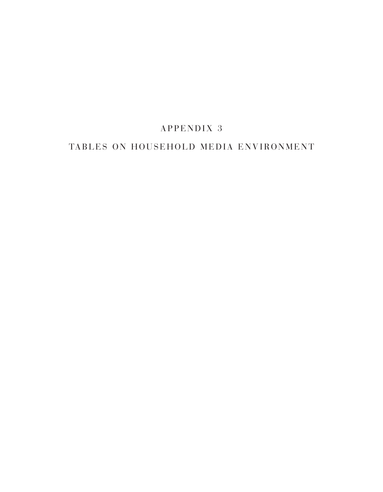# APPENDIX 3

## TABLES ON HOUSEHOLD MEDIA ENVIRONMENT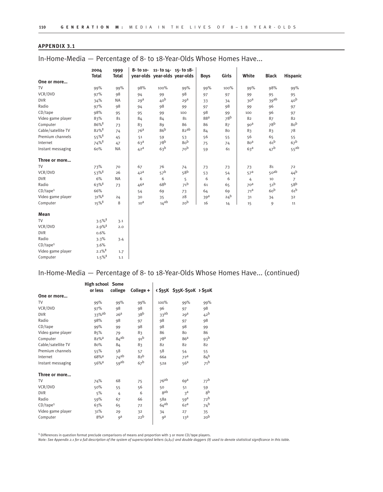In-Home-Media — Percentage of 8- to 18-Year-Olds Whose Homes Have...

|                         | 2004                 | 1999         |                 | 8- to 10- 11- to 14- 15- to 18- |                 |                 |                 |                 |                  |                 |
|-------------------------|----------------------|--------------|-----------------|---------------------------------|-----------------|-----------------|-----------------|-----------------|------------------|-----------------|
|                         | <b>Total</b>         | <b>Total</b> |                 | year-olds year-olds year-olds   |                 | <b>Boys</b>     | Girls           | White           | <b>Black</b>     | <b>Hispanic</b> |
| One or more             |                      |              |                 |                                 |                 |                 |                 |                 |                  |                 |
| <b>TV</b>               | 99%                  | 99%          | 98%             | 100%                            | 99%             | 99%             | 100%            | 99%             | 98%              | 99%             |
| VCR/DVD                 | 97%                  | 98           | 94              | 99                              | 98              | 97              | 97              | 99              | 95               | 95              |
| <b>DVR</b>              | 34%                  | <b>NA</b>    | 29 <sup>a</sup> | 40 <sup>b</sup>                 | 29 <sup>a</sup> | 33              | 34              | 30 <sup>a</sup> | 39ab             | 40 <sup>b</sup> |
| Radio                   | 97%                  | 98           | 94              | 98                              | 99              | 97              | 98              | 99              | 96               | 97              |
| $CD$ /tape              | 98%                  | 95           | 95              | 99                              | 100             | 98              | 99              | 100             | 96               | 97              |
| Video game player       | 83%                  | 81           | 84              | 84                              | 81              | 88 <sup>a</sup> | 78 <sup>b</sup> | 82              | 87               | 82              |
| Computer                | $86\%$ <sup>‡</sup>  | 73           | 83              | 89                              | 86              | 86              | 87              | 90 <sup>d</sup> | 78 <sup>b</sup>  | 80 <sup>b</sup> |
| Cable/satellite TV      | $82\%$ <sup>‡</sup>  | 74           | 76 <sup>a</sup> | 86 <sup>b</sup>                 | 82ab            | 84              | 80              | 83              | 83               | 78              |
| Premium channels        | $55\%$ <sup>‡</sup>  | 45           | 51              | 59                              | 53              | 56              | 55              | 56              | 65               | 55              |
| Internet                | $74%$ <sup>#</sup>   | 47           | 63 <sup>a</sup> | 78 <sup>b</sup>                 | 80 <sup>b</sup> | 75              | 74              | 80 <sup>a</sup> | 61 <sup>b</sup>  | 67 <sup>b</sup> |
| Instant messaging       | 60%                  | <b>NA</b>    | 42 <sup>a</sup> | 63 <sup>b</sup>                 | 70 <sup>b</sup> | 59              | 61              | 63 <sup>a</sup> | 47 <sup>b</sup>  | $55^{ab}$       |
| Three or more           |                      |              |                 |                                 |                 |                 |                 |                 |                  |                 |
| <b>TV</b>               | 73%                  | 70           | 67              | 76                              | 74              | 73              | 73              | 73              | 81               | 72              |
| VCR/DVD                 | $53\%$ <sup>‡</sup>  | 26           | 42 <sup>a</sup> | 57 <sup>b</sup>                 | 58 <sup>b</sup> | 53              | 54              | 57 <sup>a</sup> | 50 <sup>ab</sup> | 44 <sup>b</sup> |
| <b>DVR</b>              | 6%                   | <b>NA</b>    | 6               | 6                               | 5               | 6               | 6               | 4               | 10               | $\overline{7}$  |
| Radio                   | $63\%$ <sup>‡</sup>  | 73           | 46 <sup>a</sup> | 68 <sup>b</sup>                 | 71 <sup>b</sup> | 61              | 65              | 70 <sup>a</sup> | 51 <sup>b</sup>  | 58 <sup>b</sup> |
| $CD$ /tape <sup>1</sup> | 66%                  |              | 54              | 69                              | 73              | 64              | 69              | 71 <sup>d</sup> | 60 <sup>b</sup>  | 61 <sup>b</sup> |
| Video game player       | $31\%$ <sup>‡</sup>  | 24           | 30              | 35                              | 28              | 39 <sup>a</sup> | 24 <sup>b</sup> | 31              | 34               | 32              |
| Computer                | $15\%$ <sup>‡</sup>  | 8            | 10 <sup>d</sup> | $14^{ab}$                       | 20 <sup>b</sup> | 16              | 14              | 15              | 9                | 11              |
| Mean                    |                      |              |                 |                                 |                 |                 |                 |                 |                  |                 |
| <b>TV</b>               | $3.5\%$ <sup>‡</sup> | 3.1          |                 |                                 |                 |                 |                 |                 |                  |                 |
| VCR/DVD                 | $2.9\%$ <sup>‡</sup> | 2.0          |                 |                                 |                 |                 |                 |                 |                  |                 |
| <b>DVR</b>              | 0.6%                 |              |                 |                                 |                 |                 |                 |                 |                  |                 |
| Radio                   | 3.3%                 | 3.4          |                 |                                 |                 |                 |                 |                 |                  |                 |
| $CD$ /tape <sup>1</sup> | 3.6%                 |              |                 |                                 |                 |                 |                 |                 |                  |                 |
| Video game player       | $2.1\%$ <sup>‡</sup> | 1.7          |                 |                                 |                 |                 |                 |                 |                  |                 |
| Computer                | $1.5\%$ <sup>‡</sup> | $1.1$        |                 |                                 |                 |                 |                 |                 |                  |                 |

### In-Home-Media — Percentage of 8- to 18-Year-Olds Whose Homes Have... (continued)

|                         | <b>High school Some</b><br>or less | college          | College +       |                  | < \$35K \$35K-\$50K > \$50K |                 |
|-------------------------|------------------------------------|------------------|-----------------|------------------|-----------------------------|-----------------|
| One or more             |                                    |                  |                 |                  |                             |                 |
| TV                      | 99%                                | 99%              | 99%             | 100%             | 99%                         | 99%             |
| VCR/DVD                 | 97%                                | 98               | 98              | 96               | 97                          | 98              |
| <b>DVR</b>              | 33%ab                              | 26 <sup>a</sup>  | 38 <sup>b</sup> | 33 <sup>ab</sup> | 29 <sup>d</sup>             | 42 <sup>b</sup> |
| Radio                   | 98%                                | 98               | 97              | 98               | 97                          | 98              |
| $CD$ /tape              | 99%                                | 99               | 98              | 98               | 98                          | 99              |
| Video game player       | 85%                                | 79               | 83              | 86               | 80                          | 86              |
| Computer                | $82%$ <sup>a</sup>                 | $84^{ab}$        | 91 <sup>b</sup> | 78 <sup>a</sup>  | 86 <sup>a</sup>             | 93 <sup>b</sup> |
| Cable/satellite TV      | 80%                                | 84               | 83              | 82               | 82                          | 82              |
| Premium channels        | 55%                                | 58               | 57              | 58               | 54                          | 55              |
| Internet                | $68%$ <sup>a</sup>                 | $74^{ab}$        | 82 <sup>b</sup> | 66a              | 72 <sup>a</sup>             | 84 <sup>b</sup> |
| Instant messaging       | $56\%$ <sup>a</sup>                | 59 <sup>ab</sup> | 67 <sup>b</sup> | 52a              | 56 <sup>a</sup>             | 71 <sup>b</sup> |
| Three or more           |                                    |                  |                 |                  |                             |                 |
| TV                      | 74%                                | 68               | 75              | 76ab             | 69 <sup>a</sup>             | 77 <sup>b</sup> |
| VCR/DVD                 | 50%                                | 55               | 56              | 50               | 51                          | 59              |
| <b>DVR</b>              | 5%                                 | 4                | 6               | gab              | 3 <sup>d</sup>              | gb              |
| Radio                   | 59%                                | 67               | 66              | 58a              | 59 <sup>a</sup>             | 72 <sup>b</sup> |
| $CD$ /tape <sup>1</sup> | 63%                                | 65               | 72              | $64^{ab}$        | 62 <sup>a</sup>             | $74^b$          |
| Video game player       | 31%                                | 29               | 32              | 34               | 27                          | 35              |
| Computer                | $8%$ <sup>a</sup>                  | qa               | 22 <sup>b</sup> | <sub>g</sub> a   | 13 <sup>d</sup>             | 20 <sup>b</sup> |

<sup>1</sup> Differences in question format preclude comparisons of means and proportion with 3 or more CD/ tape players.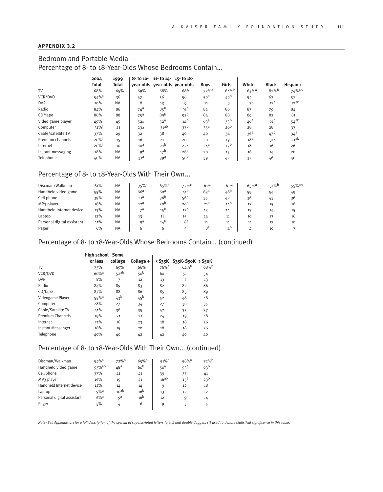### Bedroom and Portable Media — Percentage of 8- to 18-Year-Olds Whose Bedrooms Contain…

|                    | 2004                | 1999      | $8 - 1010 -$    |                 | $11 - 1014 - 15 - 1018$       |                     |                 |                    |                 |                  |
|--------------------|---------------------|-----------|-----------------|-----------------|-------------------------------|---------------------|-----------------|--------------------|-----------------|------------------|
|                    | Total               | Total     |                 |                 | vear-olds vear-olds vear-olds | <b>Boys</b>         | Girls           | White              | <b>Black</b>    | <b>Hispanic</b>  |
| TV                 | 68%                 | 65%       | 69%             | 68%             | 68%                           | $72\%$ <sup>a</sup> | 64%             | $65%$ <sup>a</sup> | 82%             | 74%ab            |
| VCR/DVD            | $54\%$ <sup>‡</sup> | 36        | 47              | 56              | 56                            | 59 <sup>a</sup>     | 49 <sup>b</sup> | 54                 | 62              | 57               |
| <b>DVR</b>         | 10%                 | <b>NA</b> | 8               | 13              | 9                             | 11                  | 9               | 7a                 | 17 <sup>b</sup> | 12ab             |
| Radio              | 84%                 | 86        | 74 <sup>a</sup> | 85 <sup>b</sup> | 91 <sup>b</sup>               | 82                  | 86              | 87                 | 79              | 84               |
| $CD$ /tape         | 86%                 | 88        | $75^{\text{a}}$ | 89 <sub>b</sub> | 92 <sup>b</sup>               | 84                  | 88              | 89                 | 82              | 81               |
| Video game player  | 49%                 | 45        | 52a             | 52 <sup>a</sup> | 41 <sup>b</sup>               | 63 <sup>a</sup>     | 33 <sup>b</sup> | 46 <sup>a</sup>    | 61 <sup>b</sup> | $54^{ab}$        |
| Computer           | $31\%$ <sup>‡</sup> | 21        | 23a             | 31ab            | 37 <sup>b</sup>               | 35 <sup>a</sup>     | 26 <sup>b</sup> | 28                 | 28              | 37               |
| Cable/satellite TV | 37%                 | 29        | 32              | 38              | 40                            | 40                  | 34              | 36 <sup>a</sup>    | 47 <sup>b</sup> | 34 <sup>a</sup>  |
| Premium channels   | $20\%$ <sup>‡</sup> | 15        | 16              | 21              | 20                            | 20                  | 19              | 18 <sup>a</sup>    | 31 <sup>b</sup> | 21 <sup>ab</sup> |
| Internet           | $20\%$ <sup>‡</sup> | 10        | 10 <sup>d</sup> | 21 <sup>b</sup> | 27 <sup>c</sup>               | $24^a$              | 17 <sup>b</sup> | 18                 | 16              | 26               |
| Instant messaging  | 18%                 | <b>NA</b> | $q^a$           | 17 <sup>b</sup> | 26 <sup>c</sup>               | 20                  | 15              | 16                 | 14              | 20               |
| Telephone          | 40%                 | <b>NA</b> | 31 <sup>d</sup> | 39 <sup>a</sup> | 50 <sup>b</sup>               | 39                  | 42              | 37                 | 46              | 40               |

### Percentage of 8- to 18-Year-Olds With Their Own...

| Discman/Walkman            | 61% | <b>NA</b> | $35%$ <sup>a</sup> | $65%$ <sup>b</sup> | 77%             | 61%             | 61%                       | $65%$ <sup>a</sup> | $51%^{b}$ | 55%ab |
|----------------------------|-----|-----------|--------------------|--------------------|-----------------|-----------------|---------------------------|--------------------|-----------|-------|
| Handheld video game        | 55% | <b>NA</b> | 66 <sup>a</sup>    | 60 <sup>a</sup>    | $41^{\text{D}}$ | 63 <sup>a</sup> | 48 <sup>b</sup>           | 59                 | 54        | 49    |
| Cell phone                 | 39% | <b>NA</b> | 21 <sup>d</sup>    | 36 <sup>b</sup>    | 56 <sup>c</sup> | 35              | 42                        | 36                 | 43        | 36    |
| MP3 player                 | 18% | <b>NA</b> | 12 <sup>a</sup>    | 20 <sup>b</sup>    | 20 <sup>b</sup> | 21 <sup>a</sup> | $14^{b}$                  | 17                 | 15        | 18    |
| Handheld Internet device   | 13% | <b>NA</b> | $\neg a$           | 15 <sup>b</sup>    | 17 <sup>b</sup> | 13              | 14                        | 13                 | 14        | 15    |
| Laptop                     | 12% | <b>NA</b> | 13                 | 11                 | 15              | 14              | 11                        | 10                 | 13        | 16    |
| Personal digital assistant | 11% | <b>NA</b> | $\alpha$           | 14 <sup>b</sup>    | 8a              | 11              | 11                        | 11                 | 12        | 10    |
| Pager                      | 6%  | <b>NA</b> |                    |                    |                 | 8 <sup>a</sup>  | $\mathbf{A}^{\mathbf{b}}$ |                    | 10        |       |

### Percentage of 8- to 18-Year-Olds Whose Bedrooms Contain... (continued)

|                         | <b>High school</b> Some<br>or less | college         |                   |                    |                             |                    |
|-------------------------|------------------------------------|-----------------|-------------------|--------------------|-----------------------------|--------------------|
|                         |                                    |                 | College +         |                    | < \$35K \$35K-\$50K > \$50K |                    |
| TV                      | 73%                                | 65%             | 66%               | $76%$ <sup>a</sup> | 64%                         | $68%$ <sup>b</sup> |
| VCR/DVD                 | $60%$ <sup>a</sup>                 | 52ab            | 50 <sup>b</sup>   | 60                 | 51                          | 54                 |
| <b>DVR</b>              | 8%                                 | 7               | 12                | 13                 | 7                           | 13                 |
| Radio                   | 84%                                | 89              | 83                | 82                 | 82                          | 86                 |
| $CD$ /tape              | 87%                                | 88              | 86                | 85                 | 85                          | 89                 |
| Videogame Player        | $55\%$ <sup>a</sup>                | 43 <sup>b</sup> | $45^{\mathrm{b}}$ | 52                 | 48                          | 48                 |
| Computer                | 28%                                | 27              | 34                | 27                 | 30                          | 35                 |
| Cable/Satellite TV      | 41%                                | 38              | 35                | 42                 | 35                          | 37                 |
| <b>Premium Channels</b> | 19%                                | 21              | 21                | 24                 | 19                          | 18                 |
| Internet                | 21%                                | 16              | 23                | 18                 | 18                          | 26                 |
| Instant Messenger       | 18%                                | 15              | 20                | 18                 | 18                          | 26                 |
| Telephone               | 40%                                | 40              | 42                | 42                 | 40                          | 40                 |

### Percentage of 8- to 18-Year-Olds With Their Own... (continued)

| Discman/Walkman            | $54%$ <sup>a</sup>   | 72%b             | 65%             | $51\%$ <sup>a</sup> | $58%$ <sup>a</sup> | 72%b            |
|----------------------------|----------------------|------------------|-----------------|---------------------|--------------------|-----------------|
| Handheld video game        | $53\%$ <sup>ab</sup> | 48 <sup>a</sup>  | 60 <sup>b</sup> | 50 <sup>a</sup>     | 53 <sup>a</sup>    | 63 <sup>b</sup> |
| Cell phone                 | 37%                  | 41               | 41              | 39                  | 37                 | 41              |
| MP3 player                 | 16%                  | 15               | 21              | 16ab                | 15 <sup>a</sup>    | 23 <sup>b</sup> |
| Handheld Internet device   | 12%                  | 14               | 14              | q                   | 12                 | 18              |
| Laptop                     | $9%$ <sup>a</sup>    | 10 <sup>ab</sup> | 16 <sup>b</sup> | 13                  | 12                 | 12              |
| Personal digital assistant | $6%$ <sup>a</sup>    | qa               | 16 <sup>b</sup> | 12                  | q                  | 14              |
| Pager                      | 5%                   | 4                | 6               | q                   | 5                  | 5               |
|                            |                      |                  |                 |                     |                    |                 |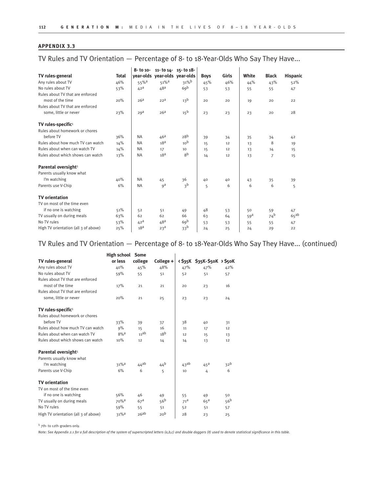TV Rules and TV Orientation — Percentage of 8- to 18-Year-Olds Who Say They Have...

|                                      |              | 8- to 10-           |                               | $11 - 1014 - 15 - 1018$ |             |       |                 |                 |                    |
|--------------------------------------|--------------|---------------------|-------------------------------|-------------------------|-------------|-------|-----------------|-----------------|--------------------|
| TV rules-general                     | <b>Total</b> |                     | year-olds year-olds year-olds |                         | <b>Boys</b> | Girls | White           | <b>Black</b>    | <b>Hispanic</b>    |
| Any rules about TV                   | 46%          | $55\%$ <sup>a</sup> | $51\%$ <sup>a</sup>           | 31%                     | 45%         | 46%   | 44%             | 43%             | 52%                |
| No rules about TV                    | 53%          | 42 <sup>a</sup>     | 48 <sup>a</sup>               | 69 <sup>b</sup>         | 53          | 53    | 55              | 55              | 47                 |
| Rules about TV that are enforced     |              |                     |                               |                         |             |       |                 |                 |                    |
| most of the time                     | 20%          | 26 <sup>a</sup>     | 22 <sup>a</sup>               | 13 <sup>b</sup>         | 20          | 20    | 19              | 20              | 22                 |
| Rules about TV that are enforced     |              |                     |                               |                         |             |       |                 |                 |                    |
| some, little or never                | 23%          | 29 <sup>a</sup>     | 26 <sup>a</sup>               | 15 <sup>b</sup>         | 23          | 23    | 23              | 20              | 28                 |
| TV rules-specific <sup>1</sup>       |              |                     |                               |                         |             |       |                 |                 |                    |
| Rules about homework or chores       |              |                     |                               |                         |             |       |                 |                 |                    |
| before TV                            | 36%          | <b>NA</b>           | 46 <sup>a</sup>               | 28 <sup>b</sup>         | 39          | 34    | 35              | 34              | 42                 |
| Rules about how much TV can watch    | 14%          | <b>NA</b>           | 18 <sup>a</sup>               | 10 <sup>b</sup>         | 15          | 12    | 13              | 8               | 19                 |
| Rules about when can watch TV        | 14%          | <b>NA</b>           | 17                            | 10 <sup>1</sup>         | 15          | 12    | 13              | 14              | 15                 |
| Rules about which shows can watch    | 13%          | <b>NA</b>           | 18 <sup>a</sup>               | 8 <sup>b</sup>          | 14          | 12    | 13              | $\overline{7}$  | 15                 |
| Parental oversight <sup>1</sup>      |              |                     |                               |                         |             |       |                 |                 |                    |
| Parents usually know what            |              |                     |                               |                         |             |       |                 |                 |                    |
| I'm watching                         | 40%          | <b>NA</b>           | 45                            | 36                      | 40          | 40    | 43              | 35              | 39                 |
| Parents use V-Chip                   | 6%           | <b>NA</b>           | qa                            | 3 <sup>b</sup>          | 5           | 6     | 6               | 6               | 5                  |
| <b>TV</b> orientation                |              |                     |                               |                         |             |       |                 |                 |                    |
| TV on most of the time even          |              |                     |                               |                         |             |       |                 |                 |                    |
| if no one is watching                | 51%          | 52                  | 51                            | 49                      | 48          | 53    | 50              | 59              | 47                 |
| TV usually on during meals           | 63%          | 62                  | 62                            | 66                      | 63          | 64    | 59 <sup>a</sup> | 74 <sup>b</sup> | $65$ <sup>ab</sup> |
| No TV rules                          | 53%          | 42 <sup>a</sup>     | 48a                           | 69 <sup>b</sup>         | 53          | 53    | 55              | 55              | 47                 |
| High TV orientation (all 3 of above) | 25%          | 18 <sup>a</sup>     | 23 <sup>a</sup>               | 33 <sup>b</sup>         | 24          | 25    | 24              | 29              | 22                 |
|                                      |              |                     |                               |                         |             |       |                 |                 |                    |

### TV Rules and TV Orientation — Percentage of 8- to 18-Year-Olds Who Say They Have... (continued)

|                                      | <b>High school Some</b> |                  |                 |                  |                             |                 |
|--------------------------------------|-------------------------|------------------|-----------------|------------------|-----------------------------|-----------------|
| TV rules-general                     | or less                 | college          | College +       |                  | < \$35K \$35K-\$50K > \$50K |                 |
| Any rules about TV                   | 40%                     | 45%              | 48%             | 47%              | 47%                         | 42%             |
| No rules about TV                    | 59%                     | 55               | 51              | 52               | 51                          | 57              |
| Rules about TV that are enforced     |                         |                  |                 |                  |                             |                 |
| most of the time                     | 17%                     | 21               | 21              | 20               | 23                          | 16              |
| Rules about TV that are enforced     |                         |                  |                 |                  |                             |                 |
| some, little or never                | 20%                     | 21               | 25              | 23               | 23                          | 24              |
| TV rules-specific <sup>1</sup>       |                         |                  |                 |                  |                             |                 |
| Rules about homework or chores       |                         |                  |                 |                  |                             |                 |
| before TV                            | 33%                     | 39               | 37              | 38               | 40                          | 31              |
| Rules about how much TV can watch    | 9%                      | 15               | 16              | 11               | 17                          | 12              |
| Rules about when can watch TV        | $8\%$ <sup>a</sup>      | 11 <sub>ab</sub> | 18 <sup>b</sup> | 12               | 15                          | 13              |
| Rules about which shows can watch    | 10%                     | 12               | 14              | 14               | 13                          | 12              |
| Parental oversight <sup>1</sup>      |                         |                  |                 |                  |                             |                 |
| Parents usually know what            |                         |                  |                 |                  |                             |                 |
| I'm watching                         | $31\%$ <sup>a</sup>     | $44^{ab}$        | 44 <sup>b</sup> | 43 <sup>ab</sup> | $45^{\text{a}}$             | 32 <sup>b</sup> |
| Parents use V-Chip                   | 6%                      | 6                | 5               | 10 <sup>1</sup>  | 4                           | 6               |
| <b>TV</b> orientation                |                         |                  |                 |                  |                             |                 |
| TV on most of the time even          |                         |                  |                 |                  |                             |                 |
| if no one is watching                | 56%                     | 46               | 49              | 55               | 49                          | 50              |
| TV usually on during meals           | $70%$ <sup>a</sup>      | 67 <sup>a</sup>  | 56 <sup>b</sup> | 71 <sup>d</sup>  | 65 <sup>a</sup>             | 56 <sup>b</sup> |
| No TV rules                          | 59%                     | 55               | 51              | 52               | 51                          | 57              |
| High TV orientation (all 3 of above) | $31%$ <sup>a</sup>      | 26ab             | 20 <sup>b</sup> | 28               | 23                          | 25              |

1 7th- to 12th-graders only.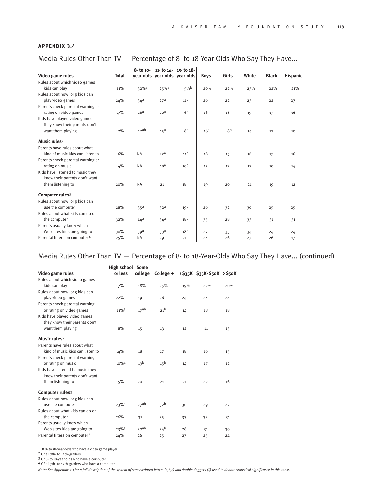Media Rules Other Than TV — Percentage of 8- to 18-Year-Olds Who Say They Have...

|                                   |              |                    | 8- to 10- 11- to 14- 15- to 18- |                 |                 |       |       |              |                 |
|-----------------------------------|--------------|--------------------|---------------------------------|-----------------|-----------------|-------|-------|--------------|-----------------|
| Video game rules <sup>1</sup>     | <b>Total</b> |                    | year-olds year-olds year-olds   |                 | <b>Boys</b>     | Girls | White | <b>Black</b> | <b>Hispanic</b> |
| Rules about which video games     |              |                    |                                 |                 |                 |       |       |              |                 |
| kids can play                     | 21%          | $32%$ <sup>a</sup> | $25%$ <sup>a</sup>              | 5%              | 20%             | 22%   | 23%   | 22%          | 21%             |
| Rules about how long kids can     |              |                    |                                 |                 |                 |       |       |              |                 |
| play video games                  | 24%          | 34 <sup>a</sup>    | 27 <sup>a</sup>                 | 11 <sup>b</sup> | 26              | 22    | 23    | 22           | 27              |
| Parents check parental warning or |              |                    |                                 |                 |                 |       |       |              |                 |
| rating on video games             | 17%          | 26 <sup>a</sup>    | 20 <sup>a</sup>                 | 6 <sup>b</sup>  | 16              | 18    | 19    | 13           | 16              |
| Kids have played video games      |              |                    |                                 |                 |                 |       |       |              |                 |
| they know their parents don't     |              |                    |                                 |                 |                 |       |       |              |                 |
| want them playing                 | 12%          | 12ab               | 15 <sup>a</sup>                 | gb              | 16 <sup>a</sup> | gb    | 14    | 12           | 10              |
| Music rules <sup>2</sup>          |              |                    |                                 |                 |                 |       |       |              |                 |
| Parents have rules about what     |              |                    |                                 |                 |                 |       |       |              |                 |
| kind of music kids can listen to  | 16%          | <b>NA</b>          | 22 <sup>a</sup>                 | 11 <sup>b</sup> | 18              | 15    | 16    | 17           | 16              |
| Parents check parental warning or |              |                    |                                 |                 |                 |       |       |              |                 |
| rating on music                   | 14%          | <b>NA</b>          | 19 <sup>d</sup>                 | 10 <sup>b</sup> | 15              | 13    | 17    | 10           | 14              |
| Kids have listened to music they  |              |                    |                                 |                 |                 |       |       |              |                 |
| know their parents don't want     |              |                    |                                 |                 |                 |       |       |              |                 |
| them listening to                 | 20%          | <b>NA</b>          | 21                              | 18              | 19              | 20    | 21    | 19           | 12              |
| Computer rules <sup>3</sup>       |              |                    |                                 |                 |                 |       |       |              |                 |
| Rules about how long kids can     |              |                    |                                 |                 |                 |       |       |              |                 |
| use the computer                  | 28%          | 35 <sup>a</sup>    | 32 <sup>a</sup>                 | 19 <sup>b</sup> | 26              | 32    | 30    | 25           | 25              |
| Rules about what kids can do on   |              |                    |                                 |                 |                 |       |       |              |                 |
| the computer                      | 32%          | 44 <sup>d</sup>    | 34 <sup>a</sup>                 | 18 <sup>b</sup> | 35              | 28    | 33    | 31           | 31              |
| Parents usually know which        |              |                    |                                 |                 |                 |       |       |              |                 |
| Web sites kids are going to       | 30%          | 39 <sup>a</sup>    | 33 <sup>a</sup>                 | 18 <sup>b</sup> | 27              | 33    | 34    | 24           | 24              |
| Parental filters on computer 4    | 25%          | <b>NA</b>          | 29                              | 21              | 24              | 26    | 27    | 26           | 17              |

### Media Rules Other Than TV — Percentage of 8- to 18-Year-Olds Who Say They Have... (continued)

| <535K \$35K-\$50K > \$50K<br>20% |
|----------------------------------|
|                                  |
|                                  |
|                                  |
|                                  |
| 24                               |
|                                  |
| 18                               |
|                                  |
|                                  |
| 13                               |
|                                  |
|                                  |
| 15                               |
|                                  |
| 12                               |
|                                  |
|                                  |
| 16                               |
|                                  |
|                                  |
| 27                               |
|                                  |
| 31                               |
|                                  |
| 30                               |
| 24                               |
|                                  |

1 Of 8- to 18-year-olds who have a video game player.

2 Of all 7th- to 12th-graders.

3 Of 8- to 18-year-olds who have a computer.

4 Of all 7th- to 12th-graders who have a computer.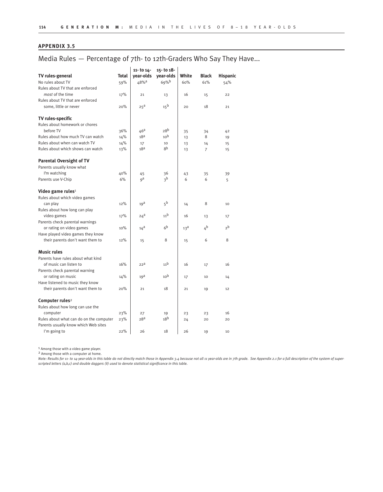### Media Rules — Percentage of 7th- to 12th-Graders Who Say They Have...

|                                         |              | 11- to 14-       | 15- to 18-      |                 |                |                 |
|-----------------------------------------|--------------|------------------|-----------------|-----------------|----------------|-----------------|
| TV rules-general                        | <b>Total</b> | vear-olds        | year-olds       | White           | <b>Black</b>   | <b>Hispanic</b> |
| No rules about TV                       | 59%          | 48% <sup>a</sup> | 69%             | 60%             | 61%            | 54%             |
| Rules about TV that are enforced        |              |                  |                 |                 |                |                 |
| most of the time                        | 17%          | 21               | 13              | 16              | 15             | 22              |
| Rules about TV that are enforced        |              |                  |                 |                 |                |                 |
| some, little or never                   | 20%          | 25 <sup>a</sup>  | 15 <sup>b</sup> | 20              | 18             | 21              |
| TV rules-specific                       |              |                  |                 |                 |                |                 |
| Rules about homework or chores          |              |                  |                 |                 |                |                 |
| before TV                               | 36%          | 46 <sup>a</sup>  | 28 <sup>b</sup> | 35              | 34             | 42              |
| Rules about how much TV can watch       | 14%          | 18 <sup>a</sup>  | 10 <sup>b</sup> | 13              | 8              | 19              |
| Rules about when can watch TV           | 14%          | 17               | 10              | 13              | 14             | 15              |
| Rules about which shows can watch       | 13%          | 18 <sup>a</sup>  | 8 <sub>p</sub>  | 13              | $\overline{7}$ | 15              |
| <b>Parental Oversight of TV</b>         |              |                  |                 |                 |                |                 |
| Parents usually know what               |              |                  |                 |                 |                |                 |
| I'm watching                            | 40%          | 45               | 36              | 43              | 35             | 39              |
| Parents use V-Chip                      | 6%           | qa               | <sub>3</sub> b  | 6               | 6              | 5               |
| Video game rules <sup>1</sup>           |              |                  |                 |                 |                |                 |
| Rules about which video games           |              |                  |                 |                 |                |                 |
| can play                                | 12%          | 19 <sup>d</sup>  | 5 <sup>b</sup>  | 14              | 8              | 10              |
| Rules about how long can play           |              |                  |                 |                 |                |                 |
| video games                             | 17%          | $24^a$           | 11 <sup>b</sup> | 16              | 13             | 17              |
| Parents check parental warnings         |              |                  |                 |                 |                |                 |
| or rating on video games                | 10%          | $14^a$           | 6 <sup>b</sup>  | 13 <sup>d</sup> | ∡b             | 2 <sup>b</sup>  |
| Have played video games they know       |              |                  |                 |                 |                |                 |
| their parents don't want them to        | 12%          | 15               | 8               | 15              | 6              | 8               |
| <b>Music rules</b>                      |              |                  |                 |                 |                |                 |
| Parents have rules about what kind      |              |                  |                 |                 |                |                 |
| of music can listen to                  | 16%          | 22 <sup>a</sup>  | 11 <sup>b</sup> | 16              | 17             | 16              |
| Parents check parental warning          |              |                  |                 |                 |                |                 |
| or rating on music                      | 14%          | 19 <sup>d</sup>  | 10 <sup>b</sup> | 17              | 10             | 14              |
| Have listened to music they know        |              |                  |                 |                 |                |                 |
| their parents don't want them to        | 20%          | 21               | 18              | 21              | 19             | 12              |
| Computer rules <sup>2</sup>             |              |                  |                 |                 |                |                 |
| Rules about how long can use the        |              |                  |                 |                 |                |                 |
| computer                                | 23%          | 27               | 19              | 23              | 23             | 16              |
| Rules about what can do on the computer | 23%          | 28 <sup>a</sup>  | 18 <sup>b</sup> | 24              | 20             | 20              |
| Parents usually know which Web sites    |              |                  |                 |                 |                |                 |
| I'm going to                            | 22%          | 26               | 18              | 26              | 19             | 10              |

<sup>1</sup> Among those with a video game player.

2 Among those with a computer at home.

Note: Results for 11- to 14-year-olds in this table do not directly match those in Appendix 3.4 because not all 11 year-olds are in 7th grade. See Appendix 2.1 for a full description of the system of super*scripted letters (a,b,c) and double daggers (‡) used to denote statistical significance in this table.*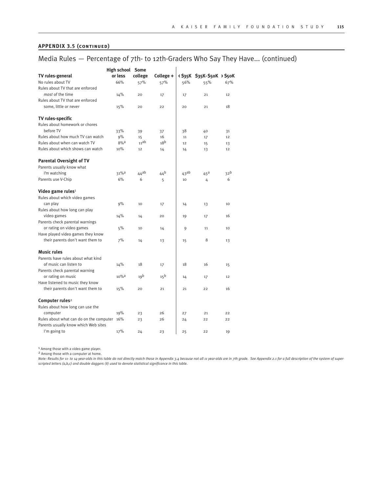#### **APPENDIX 3.5 (continued)**

### Media Rules — Percentage of 7th- to 12th-Graders Who Say They Have... (continued)

| High school Some                        |                     |                 |                 |                  |                           |                 |  |  |  |  |
|-----------------------------------------|---------------------|-----------------|-----------------|------------------|---------------------------|-----------------|--|--|--|--|
| TV rules-general                        | or less             | college         | College +       |                  | <535K \$35K-\$50K > \$50K |                 |  |  |  |  |
| No rules about TV                       | 66%                 | 57%             | 57%             | 56%              | 55%                       | 67%             |  |  |  |  |
| Rules about TV that are enforced        |                     |                 |                 |                  |                           |                 |  |  |  |  |
| most of the time                        | 14%                 | 20              | 17              | 17               | 21                        | 12              |  |  |  |  |
| Rules about TV that are enforced        |                     |                 |                 |                  |                           |                 |  |  |  |  |
| some, little or never                   | 15%                 | 20              | 22              | 20               | 21                        | 18              |  |  |  |  |
| TV rules-specific                       |                     |                 |                 |                  |                           |                 |  |  |  |  |
| Rules about homework or chores          |                     |                 |                 |                  |                           |                 |  |  |  |  |
| before TV                               | 33%                 | 39              | 37              | 38               | 40                        | 31              |  |  |  |  |
| Rules about how much TV can watch       | 9%                  | 15              | 16              | 11               | 17                        | 12              |  |  |  |  |
| Rules about when can watch TV           | $8%$ <sup>a</sup>   | 11ab            | 18 <sup>b</sup> | 12               | 15                        | 13              |  |  |  |  |
| Rules about which shows can watch       | 10%                 | 12              | 14              | 14               | 13                        | 12              |  |  |  |  |
| <b>Parental Oversight of TV</b>         |                     |                 |                 |                  |                           |                 |  |  |  |  |
| Parents usually know what               |                     |                 |                 |                  |                           |                 |  |  |  |  |
| I'm watching                            | 31% <sup>a</sup>    | $44^{ab}$       | 44 <sup>b</sup> | 43 <sup>ab</sup> | $45^{\text{a}}$           | 32 <sup>b</sup> |  |  |  |  |
| Parents use V-Chip                      | 6%                  | 6               | 5               | 10               | 4                         | 6               |  |  |  |  |
| Video game rules $1$                    |                     |                 |                 |                  |                           |                 |  |  |  |  |
| Rules about which video games           |                     |                 |                 |                  |                           |                 |  |  |  |  |
| can play                                | 9%                  | 10              | 17              | 14               | 13                        | 10              |  |  |  |  |
| Rules about how long can play           |                     |                 |                 |                  |                           |                 |  |  |  |  |
| video games                             | 14%                 | 14              | 20              | 19               | 17                        | 16              |  |  |  |  |
| Parents check parental warnings         |                     |                 |                 |                  |                           |                 |  |  |  |  |
| or rating on video games                | 5%                  | 10              | 14              | 9                | 11                        | 10              |  |  |  |  |
| Have played video games they know       |                     |                 |                 |                  |                           |                 |  |  |  |  |
| their parents don't want them to        | 7%                  | 14              | 13              | 15               | 8                         | 13              |  |  |  |  |
| <b>Music rules</b>                      |                     |                 |                 |                  |                           |                 |  |  |  |  |
| Parents have rules about what kind      |                     |                 |                 |                  |                           |                 |  |  |  |  |
| of music can listen to                  | 14%                 | 18              | 17              | 18               | 16                        | 15              |  |  |  |  |
| Parents check parental warning          |                     |                 |                 |                  |                           |                 |  |  |  |  |
| or rating on music                      | $10\%$ <sup>a</sup> | 19 <sup>b</sup> | 15 <sup>b</sup> | 14               | 17                        | 12              |  |  |  |  |
| Have listened to music they know        |                     |                 |                 |                  |                           |                 |  |  |  |  |
| their parents don't want them to        | 15%                 | 20              | 21              | 21               | 22                        | 16              |  |  |  |  |
| Computer rules <sup>2</sup>             |                     |                 |                 |                  |                           |                 |  |  |  |  |
| Rules about how long can use the        |                     |                 |                 |                  |                           |                 |  |  |  |  |
| computer                                | 19%                 | 23              | 26              | 27               | 21                        | 22              |  |  |  |  |
| Rules about what can do on the computer | 16%                 | 23              | 26              | 24               | 22                        | 22              |  |  |  |  |
| Parents usually know which Web sites    |                     |                 |                 |                  |                           |                 |  |  |  |  |
| I'm going to                            | 17%                 | 24              | 23              | 25               | 22                        | 19              |  |  |  |  |

<sup>1</sup> Among those with a video game player.

2 Among those with a computer at home.

Note: Results for 11- to 14-year-olds in this table do not directly match those in Appendix 3.4 because not all 11 year-olds are in 7th grade. See Appendix 2.1 for a full description of the system of super*scripted letters (a,b,c) and double daggers (‡) used to denote statistical significance in this table.*